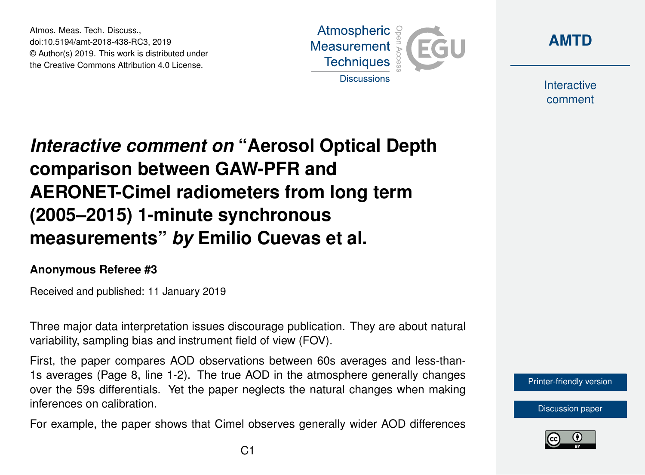Atmos. Meas. Tech. Discuss., doi:10.5194/amt-2018-438-RC3, 2019 © Author(s) 2019. This work is distributed under the Creative Commons Attribution 4.0 License.





Interactive comment

# *Interactive comment on* **"Aerosol Optical Depth comparison between GAW-PFR and AERONET-Cimel radiometers from long term (2005–2015) 1-minute synchronous measurements"** *by* **Emilio Cuevas et al.**

#### **Anonymous Referee #3**

Received and published: 11 January 2019

Three major data interpretation issues discourage publication. They are about natural variability, sampling bias and instrument field of view (FOV).

First, the paper compares AOD observations between 60s averages and less-than-1s averages (Page 8, line 1-2). The true AOD in the atmosphere generally changes over the 59s differentials. Yet the paper neglects the natural changes when making inferences on calibration.

For example, the paper shows that Cimel observes generally wider AOD differences

[Printer-friendly version](https://www.atmos-meas-tech-discuss.net/amt-2018-438/amt-2018-438-RC3-print.pdf)

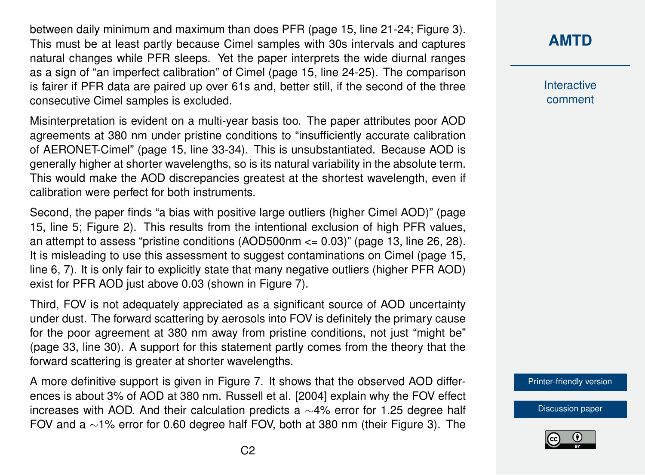between daily minimum and maximum than does PFR (page 15, line 21-24; Figure 3). This must be at least partly because Cimel samples with 30s intervals and captures natural changes while PFR sleeps. Yet the paper interprets the wide diurnal ranges as a sign of "an imperfect calibration" of Cimel (page 15, line 24-25). The comparison is fairer if PFR data are paired up over 61s and, better still, if the second of the three consecutive Cimel samples is excluded.

Misinterpretation is evident on a multi-year basis too. The paper attributes poor AOD agreements at 380 nm under pristine conditions to "insufficiently accurate calibration of AERONET-Cimel" (page 15, line 33-34). This is unsubstantiated. Because AOD is generally higher at shorter wavelengths, so is its natural variability in the absolute term. This would make the AOD discrepancies greatest at the shortest wavelength, even if calibration were perfect for both instruments.

Second, the paper finds "a bias with positive large outliers (higher Cimel AOD)" (page 15, line 5; Figure 2). This results from the intentional exclusion of high PFR values, an attempt to assess "pristine conditions (AOD500nm  $\leq$  0.03)" (page 13, line 26, 28). It is misleading to use this assessment to suggest contaminations on Cimel (page 15, line 6, 7). It is only fair to explicitly state that many negative outliers (higher PFR AOD) exist for PFR AOD just above 0.03 (shown in Figure 7).

Third, FOV is not adequately appreciated as a significant source of AOD uncertainty under dust. The forward scattering by aerosols into FOV is definitely the primary cause for the poor agreement at 380 nm away from pristine conditions, not just "might be" (page 33, line 30). A support for this statement partly comes from the theory that the forward scattering is greater at shorter wavelengths.

A more definitive support is given in Figure 7. It shows that the observed AOD differences is about 3% of AOD at 380 nm. Russell et al. [2004] explain why the FOV effect increases with AOD. And their calculation predicts a ∼4% error for 1.25 degree half FOV and a ∼1% error for 0.60 degree half FOV, both at 380 nm (their Figure 3). The

#### **[AMTD](https://www.atmos-meas-tech-discuss.net/)**

**Interactive** comment

[Printer-friendly version](https://www.atmos-meas-tech-discuss.net/amt-2018-438/amt-2018-438-RC3-print.pdf)

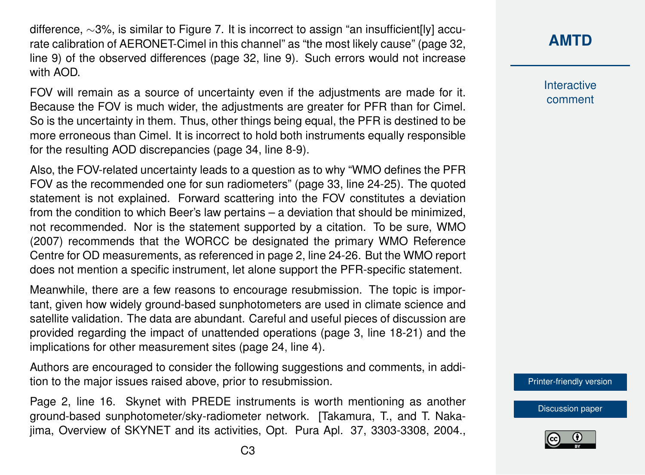difference, ∼3%, is similar to Figure 7. It is incorrect to assign "an insufficient[ly] accurate calibration of AERONET-Cimel in this channel" as "the most likely cause" (page 32, line 9) of the observed differences (page 32, line 9). Such errors would not increase with AOD.

FOV will remain as a source of uncertainty even if the adjustments are made for it. Because the FOV is much wider, the adjustments are greater for PFR than for Cimel. So is the uncertainty in them. Thus, other things being equal, the PFR is destined to be more erroneous than Cimel. It is incorrect to hold both instruments equally responsible for the resulting AOD discrepancies (page 34, line 8-9).

Also, the FOV-related uncertainty leads to a question as to why "WMO defines the PFR FOV as the recommended one for sun radiometers" (page 33, line 24-25). The quoted statement is not explained. Forward scattering into the FOV constitutes a deviation from the condition to which Beer's law pertains – a deviation that should be minimized, not recommended. Nor is the statement supported by a citation. To be sure, WMO (2007) recommends that the WORCC be designated the primary WMO Reference Centre for OD measurements, as referenced in page 2, line 24-26. But the WMO report does not mention a specific instrument, let alone support the PFR-specific statement.

Meanwhile, there are a few reasons to encourage resubmission. The topic is important, given how widely ground-based sunphotometers are used in climate science and satellite validation. The data are abundant. Careful and useful pieces of discussion are provided regarding the impact of unattended operations (page 3, line 18-21) and the implications for other measurement sites (page 24, line 4).

Authors are encouraged to consider the following suggestions and comments, in addition to the major issues raised above, prior to resubmission.

Page 2, line 16. Skynet with PREDE instruments is worth mentioning as another ground-based sunphotometer/sky-radiometer network. [Takamura, T., and T. Nakajima, Overview of SKYNET and its activities, Opt. Pura Apl. 37, 3303-3308, 2004.,

**Interactive** comment

[Printer-friendly version](https://www.atmos-meas-tech-discuss.net/amt-2018-438/amt-2018-438-RC3-print.pdf)

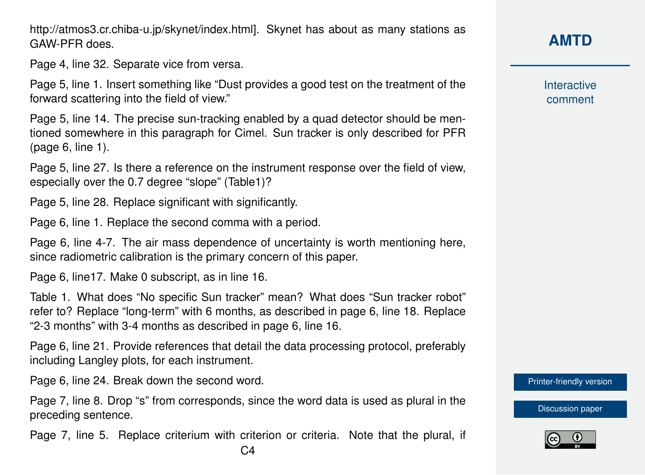GAW-PFR does. Page 4, line 32. Separate vice from versa.

http://atmos3.cr.chiba-u.jp/skynet/index.html]. Skynet has about as many stations as

Page 5, line 1. Insert something like "Dust provides a good test on the treatment of the forward scattering into the field of view."

Page 5, line 14. The precise sun-tracking enabled by a quad detector should be mentioned somewhere in this paragraph for Cimel. Sun tracker is only described for PFR (page 6, line 1).

Page 5, line 27. Is there a reference on the instrument response over the field of view, especially over the 0.7 degree "slope" (Table1)?

Page 5, line 28. Replace significant with significantly.

Page 6, line 1. Replace the second comma with a period.

Page 6, line 4-7. The air mass dependence of uncertainty is worth mentioning here, since radiometric calibration is the primary concern of this paper.

Page 6, line17. Make 0 subscript, as in line 16.

Table 1. What does "No specific Sun tracker" mean? What does "Sun tracker robot" refer to? Replace "long-term" with 6 months, as described in page 6, line 18. Replace "2-3 months" with 3-4 months as described in page 6, line 16.

Page 6, line 21. Provide references that detail the data processing protocol, preferably including Langley plots, for each instrument.

Page 6, line 24. Break down the second word.

Page 7, line 8. Drop "s" from corresponds, since the word data is used as plural in the preceding sentence.

Page 7, line 5. Replace criterium with criterion or criteria. Note that the plural, if  $C<sub>4</sub>$ 

# **[AMTD](https://www.atmos-meas-tech-discuss.net/)**

Interactive comment

[Printer-friendly version](https://www.atmos-meas-tech-discuss.net/amt-2018-438/amt-2018-438-RC3-print.pdf)

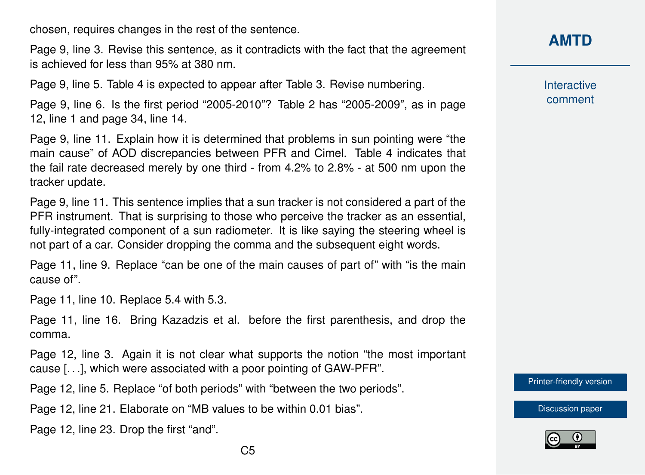chosen, requires changes in the rest of the sentence.

Page 9, line 3. Revise this sentence, as it contradicts with the fact that the agreement is achieved for less than 95% at 380 nm.

Page 9, line 5. Table 4 is expected to appear after Table 3. Revise numbering.

Page 9, line 6. Is the first period "2005-2010"? Table 2 has "2005-2009", as in page 12, line 1 and page 34, line 14.

Page 9, line 11. Explain how it is determined that problems in sun pointing were "the main cause" of AOD discrepancies between PFR and Cimel. Table 4 indicates that the fail rate decreased merely by one third - from 4.2% to 2.8% - at 500 nm upon the tracker update.

Page 9, line 11. This sentence implies that a sun tracker is not considered a part of the PFR instrument. That is surprising to those who perceive the tracker as an essential, fully-integrated component of a sun radiometer. It is like saying the steering wheel is not part of a car. Consider dropping the comma and the subsequent eight words.

Page 11, line 9. Replace "can be one of the main causes of part of" with "is the main cause of".

Page 11, line 10. Replace 5.4 with 5.3.

Page 11, line 16. Bring Kazadzis et al. before the first parenthesis, and drop the comma.

Page 12, line 3. Again it is not clear what supports the notion "the most important cause [. . .], which were associated with a poor pointing of GAW-PFR".

Page 12, line 5. Replace "of both periods" with "between the two periods".

Page 12, line 21. Elaborate on "MB values to be within 0.01 bias".

Page 12, line 23. Drop the first "and".

**Interactive** comment

[Printer-friendly version](https://www.atmos-meas-tech-discuss.net/amt-2018-438/amt-2018-438-RC3-print.pdf)

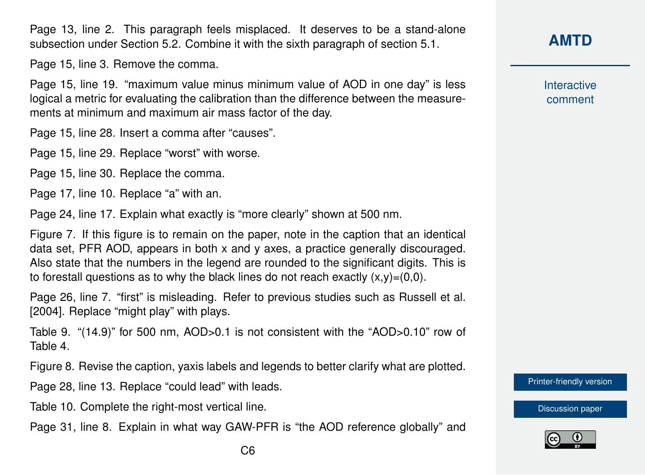Page 13, line 2. This paragraph feels misplaced. It deserves to be a stand-alone subsection under Section 5.2. Combine it with the sixth paragraph of section 5.1.

Page 15, line 3. Remove the comma.

Page 15, line 19. "maximum value minus minimum value of AOD in one day" is less logical a metric for evaluating the calibration than the difference between the measurements at minimum and maximum air mass factor of the day.

Page 15, line 28. Insert a comma after "causes".

Page 15, line 29. Replace "worst" with worse.

Page 15, line 30. Replace the comma.

Page 17, line 10. Replace "a" with an.

Page 24, line 17. Explain what exactly is "more clearly" shown at 500 nm.

Figure 7. If this figure is to remain on the paper, note in the caption that an identical data set, PFR AOD, appears in both x and y axes, a practice generally discouraged. Also state that the numbers in the legend are rounded to the significant digits. This is to forestall questions as to why the black lines do not reach exactly  $(x,y)=(0,0)$ .

Page 26, line 7. "first" is misleading. Refer to previous studies such as Russell et al. [2004]. Replace "might play" with plays.

Table 9. "(14.9)" for 500 nm, AOD>0.1 is not consistent with the "AOD>0.10" row of Table 4.

Figure 8. Revise the caption, yaxis labels and legends to better clarify what are plotted.

Page 28, line 13. Replace "could lead" with leads.

- Table 10. Complete the right-most vertical line.
- Page 31, line 8. Explain in what way GAW-PFR is "the AOD reference globally" and

Interactive comment

[Printer-friendly version](https://www.atmos-meas-tech-discuss.net/amt-2018-438/amt-2018-438-RC3-print.pdf)

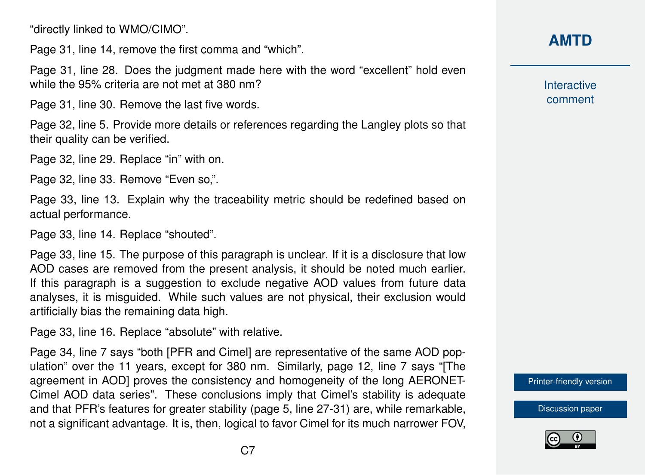"directly linked to WMO/CIMO".

Page 31, line 14, remove the first comma and "which".

Page 31, line 28. Does the judgment made here with the word "excellent" hold even while the 95% criteria are not met at 380 nm?

Page 31, line 30. Remove the last five words.

Page 32, line 5. Provide more details or references regarding the Langley plots so that their quality can be verified.

Page 32, line 29. Replace "in" with on.

Page 32, line 33. Remove "Even so,".

Page 33, line 13. Explain why the traceability metric should be redefined based on actual performance.

Page 33, line 14. Replace "shouted".

Page 33, line 15. The purpose of this paragraph is unclear. If it is a disclosure that low AOD cases are removed from the present analysis, it should be noted much earlier. If this paragraph is a suggestion to exclude negative AOD values from future data analyses, it is misguided. While such values are not physical, their exclusion would artificially bias the remaining data high.

Page 33, line 16. Replace "absolute" with relative.

Page 34, line 7 says "both [PFR and Cimel] are representative of the same AOD population" over the 11 years, except for 380 nm. Similarly, page 12, line 7 says "[The agreement in AOD] proves the consistency and homogeneity of the long AERONET-Cimel AOD data series". These conclusions imply that Cimel's stability is adequate and that PFR's features for greater stability (page 5, line 27-31) are, while remarkable, not a significant advantage. It is, then, logical to favor Cimel for its much narrower FOV,

## **[AMTD](https://www.atmos-meas-tech-discuss.net/)**

Interactive comment

[Printer-friendly version](https://www.atmos-meas-tech-discuss.net/amt-2018-438/amt-2018-438-RC3-print.pdf)